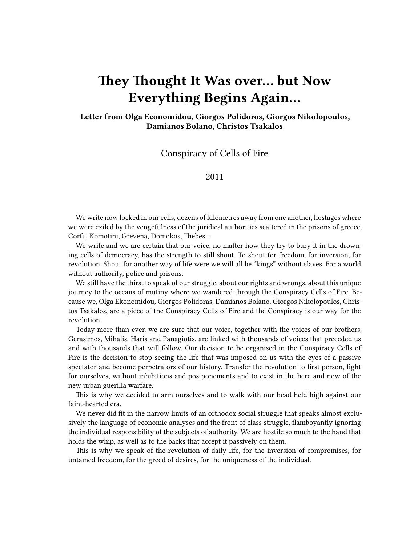# **They Thought It Was over… but Now Everything Begins Again…**

**Letter from Olga Economidou, Giorgos Polidoros, Giorgos Nikolopoulos, Damianos Bolano, Christos Tsakalos**

Conspiracy of Cells of Fire

## 2011

We write now locked in our cells, dozens of kilometres away from one another, hostages where we were exiled by the vengefulness of the juridical authorities scattered in the prisons of greece, Corfu, Komotini, Grevena, Domokos, Thebes…

We write and we are certain that our voice, no matter how they try to bury it in the drowning cells of democracy, has the strength to still shout. To shout for freedom, for inversion, for revolution. Shout for another way of life were we will all be "kings" without slaves. For a world without authority, police and prisons.

We still have the thirst to speak of our struggle, about our rights and wrongs, about this unique journey to the oceans of mutiny where we wandered through the Conspiracy Cells of Fire. Because we, Olga Ekonomidou, Giorgos Polidoras, Damianos Bolano, Giorgos Nikolopoulos, Christos Tsakalos, are a piece of the Conspiracy Cells of Fire and the Conspiracy is our way for the revolution.

Today more than ever, we are sure that our voice, together with the voices of our brothers, Gerasimos, Mihalis, Haris and Panagiotis, are linked with thousands of voices that preceded us and with thousands that will follow. Our decision to be organised in the Conspiracy Cells of Fire is the decision to stop seeing the life that was imposed on us with the eyes of a passive spectator and become perpetrators of our history. Transfer the revolution to first person, fight for ourselves, without inhibitions and postponements and to exist in the here and now of the new urban guerilla warfare.

This is why we decided to arm ourselves and to walk with our head held high against our faint-hearted era.

We never did fit in the narrow limits of an orthodox social struggle that speaks almost exclusively the language of economic analyses and the front of class struggle, flamboyantly ignoring the individual responsibility of the subjects of authority. We are hostile so much to the hand that holds the whip, as well as to the backs that accept it passively on them.

This is why we speak of the revolution of daily life, for the inversion of compromises, for untamed freedom, for the greed of desires, for the uniqueness of the individual.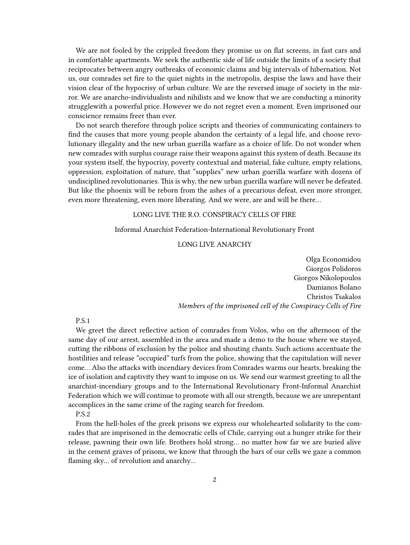We are not fooled by the crippled freedom they promise us on flat screens, in fast cars and in comfortable apartments. We seek the authentic side of life outside the limits of a society that reciprocates between angry outbreaks of economic claims and big intervals of hibernation. Not us, our comrades set fire to the quiet nights in the metropolis, despise the laws and have their vision clear of the hypocrisy of urban culture. We are the reversed image of society in the mirror. We are anarcho-individualists and nihilists and we know that we are conducting a minority strugglewith a powerful price. However we do not regret even a moment. Even imprisoned our conscience remains freer than ever.

Do not search therefore through police scripts and theories of communicating containers to find the causes that more young people abandon the certainty of a legal life, and choose revolutionary illegality and the new urban guerilla warfare as a choice of life. Do not wonder when new comrades with surplus courage raise their weapons against this system of death. Because its your system itself, the hypocrisy, poverty contextual and material, fake culture, empty relations, oppression, exploitation of nature, that "supplies" new urban guerilla warfare with dozens of undisciplined revolutionaries. This is why, the new urban guerilla warfare will never be defeated. But like the phoenix will be reborn from the ashes of a precarious defeat, even more stronger, even more threatening, even more liberating. And we were, are and will be there…

## LONG LIVE THE R.O. CONSPIRACY CELLS OF FIRE

#### Informal Anarchist Federation-International Revolutionary Front

## LONG LIVE ANARCHY

Olga Economidou Giorgos Polidoros Giorgos Nikolopoulos Damianos Bolano Christos Tsakalos *Members of the imprisoned cell of the Conspiracy Cells of Fire*

## P.S.1

We greet the direct reflective action of comrades from Volos, who on the afternoon of the same day of our arrest, assembled in the area and made a demo to the house where we stayed, cutting the ribbons of exclusion by the police and shouting chants. Such actions accentuate the hostilities and release "occupied" turfs from the police, showing that the capitulation will never come… Also the attacks with incendiary devices from Comrades warms our hearts, breaking the ice of isolation and captivity they want to impose on us. We send our warmest greeting to all the anarchist-incendiary groups and to the International Revolutionary Front-Informal Anarchist Federation which we will continue to promote with all our strength, because we are unrepentant accomplices in the same crime of the raging search for freedom.

#### P.S.2

From the hell-holes of the greek prisons we express our wholehearted solidarity to the comrades that are imprisoned in the democratic cells of Chile, carrying out a hunger strike for their release, pawning their own life. Brothers hold strong… no matter how far we are buried alive in the cement graves of prisons, we know that through the bars of our cells we gaze a common flaming sky… of revolution and anarchy…